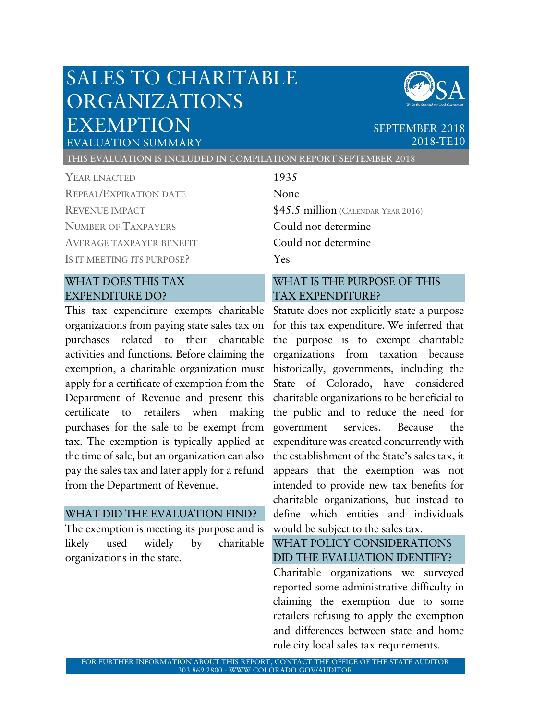## SALES TO CHARITABLE ORGANIZATIONS **EXEMPTION**



#### SEPTEMBER 2018 2018-TE10

THIS EVALUATION IS INCLUDED IN COMPILATION REPORT SEPTEMBER 2018

YEAR ENACTED 1935 REPEAL/EXPIRATION DATE None REVENUE IMPACT \$45.5 million (CALENDAR YEAR 2016) NUMBER OF TAXPAYERS Could not determine AVERAGE TAXPAYER BENEFIT Could not determine IS IT MEETING ITS PURPOSE? Yes

EVALUATION SUMMARY

#### WHAT DOES THIS TAX EXPENDITURE DO?

This tax expenditure exempts charitable organizations from paying state sales tax on purchases related to their charitable activities and functions. Before claiming the exemption, a charitable organization must apply for a certificate of exemption from the Department of Revenue and present this certificate to retailers when making purchases for the sale to be exempt from tax. The exemption is typically applied at the time of sale, but an organization can also pay the sales tax and later apply for a refund from the Department of Revenue.

#### WHAT DID THE EVALUATION FIND?

The exemption is meeting its purpose and is likely used widely by charitable organizations in the state.

WHAT IS THE PURPOSE OF THIS TAX EXPENDITURE?

Statute does not explicitly state a purpose for this tax expenditure. We inferred that the purpose is to exempt charitable organizations from taxation because historically, governments, including the State of Colorado, have considered charitable organizations to be beneficial to the public and to reduce the need for government services. Because the expenditure was created concurrently with the establishment of the State's sales tax, it appears that the exemption was not intended to provide new tax benefits for charitable organizations, but instead to define which entities and individuals would be subject to the sales tax.

#### WHAT POLICY CONSIDERATIONS DID THE EVALUATION IDENTIFY?

Charitable organizations we surveyed reported some administrative difficulty in claiming the exemption due to some retailers refusing to apply the exemption and differences between state and home rule city local sales tax requirements.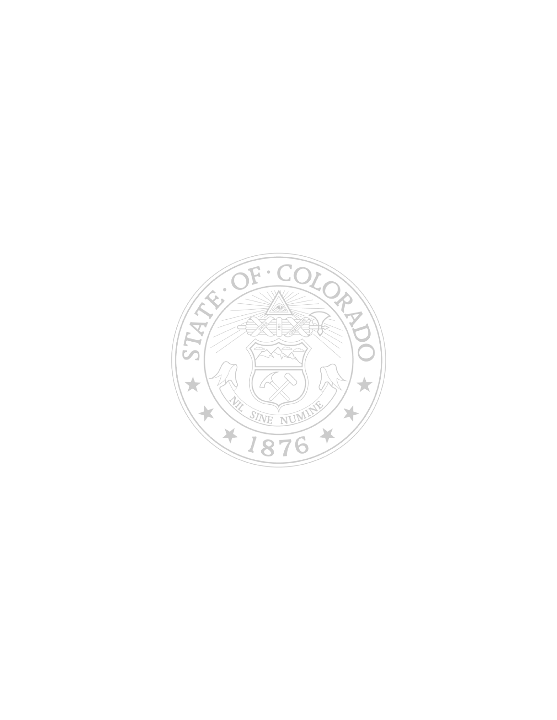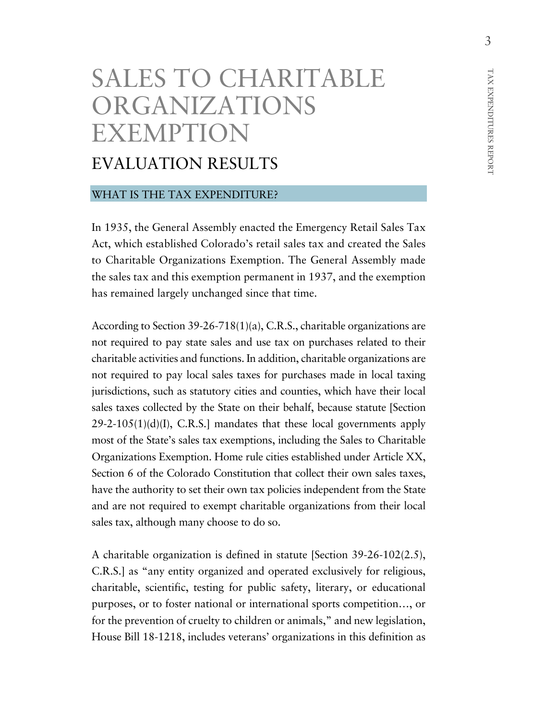# SALES TO CHARITABLE ORGANIZATIONS EXEMPTION

### EVALUATION RESULTS

#### WHAT IS THE TAX EXPENDITURE?

In 1935, the General Assembly enacted the Emergency Retail Sales Tax Act, which established Colorado's retail sales tax and created the Sales to Charitable Organizations Exemption. The General Assembly made the sales tax and this exemption permanent in 1937, and the exemption has remained largely unchanged since that time.

According to Section 39-26-718(1)(a), C.R.S., charitable organizations are not required to pay state sales and use tax on purchases related to their charitable activities and functions. In addition, charitable organizations are not required to pay local sales taxes for purchases made in local taxing jurisdictions, such as statutory cities and counties, which have their local sales taxes collected by the State on their behalf, because statute [Section  $29-2-105(1)(d)(I)$ , C.R.S.] mandates that these local governments apply most of the State's sales tax exemptions, including the Sales to Charitable Organizations Exemption. Home rule cities established under Article XX, Section 6 of the Colorado Constitution that collect their own sales taxes, have the authority to set their own tax policies independent from the State and are not required to exempt charitable organizations from their local sales tax, although many choose to do so.

A charitable organization is defined in statute [Section 39-26-102(2.5), C.R.S.] as "any entity organized and operated exclusively for religious, charitable, scientific, testing for public safety, literary, or educational purposes, or to foster national or international sports competition…, or for the prevention of cruelty to children or animals," and new legislation, House Bill 18-1218, includes veterans' organizations in this definition as

REPORT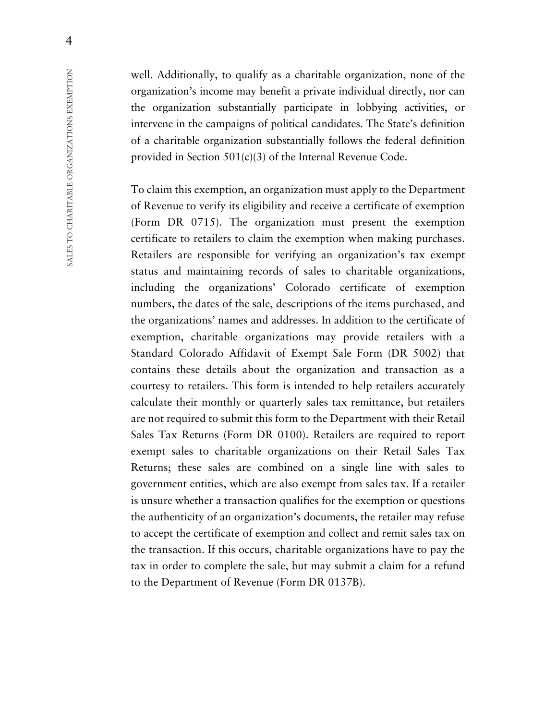4

well. Additionally, to qualify as a charitable organization, none of the organization's income may benefit a private individual directly, nor can the organization substantially participate in lobbying activities, or intervene in the campaigns of political candidates. The State's definition of a charitable organization substantially follows the federal definition provided in Section 501(c)(3) of the Internal Revenue Code.

To claim this exemption, an organization must apply to the Department of Revenue to verify its eligibility and receive a certificate of exemption (Form DR 0715). The organization must present the exemption certificate to retailers to claim the exemption when making purchases. Retailers are responsible for verifying an organization's tax exempt status and maintaining records of sales to charitable organizations, including the organizations' Colorado certificate of exemption numbers, the dates of the sale, descriptions of the items purchased, and the organizations' names and addresses. In addition to the certificate of exemption, charitable organizations may provide retailers with a Standard Colorado Affidavit of Exempt Sale Form (DR 5002) that contains these details about the organization and transaction as a courtesy to retailers. This form is intended to help retailers accurately calculate their monthly or quarterly sales tax remittance, but retailers are not required to submit this form to the Department with their Retail Sales Tax Returns (Form DR 0100). Retailers are required to report exempt sales to charitable organizations on their Retail Sales Tax Returns; these sales are combined on a single line with sales to government entities, which are also exempt from sales tax. If a retailer is unsure whether a transaction qualifies for the exemption or questions the authenticity of an organization's documents, the retailer may refuse to accept the certificate of exemption and collect and remit sales tax on the transaction. If this occurs, charitable organizations have to pay the tax in order to complete the sale, but may submit a claim for a refund to the Department of Revenue (Form DR 0137B).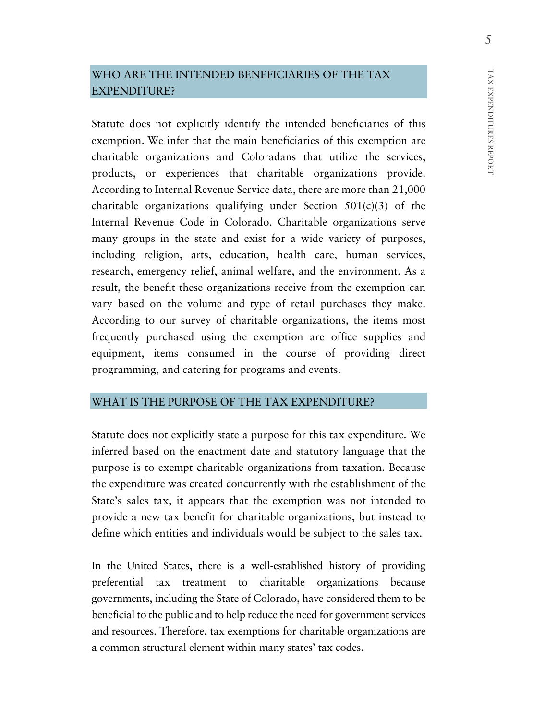#### WHO ARE THE INTENDED BENEFICIARIES OF THE TAX EXPENDITURE?

Statute does not explicitly identify the intended beneficiaries of this exemption. We infer that the main beneficiaries of this exemption are charitable organizations and Coloradans that utilize the services, products, or experiences that charitable organizations provide. According to Internal Revenue Service data, there are more than 21,000 charitable organizations qualifying under Section  $501(c)(3)$  of the Internal Revenue Code in Colorado. Charitable organizations serve many groups in the state and exist for a wide variety of purposes, including religion, arts, education, health care, human services, research, emergency relief, animal welfare, and the environment. As a result, the benefit these organizations receive from the exemption can vary based on the volume and type of retail purchases they make. According to our survey of charitable organizations, the items most frequently purchased using the exemption are office supplies and equipment, items consumed in the course of providing direct programming, and catering for programs and events.

#### WHAT IS THE PURPOSE OF THE TAX EXPENDITURE?

Statute does not explicitly state a purpose for this tax expenditure. We inferred based on the enactment date and statutory language that the purpose is to exempt charitable organizations from taxation. Because the expenditure was created concurrently with the establishment of the State's sales tax, it appears that the exemption was not intended to provide a new tax benefit for charitable organizations, but instead to define which entities and individuals would be subject to the sales tax.

In the United States, there is a well-established history of providing preferential tax treatment to charitable organizations because governments, including the State of Colorado, have considered them to be beneficial to the public and to help reduce the need for government services and resources. Therefore, tax exemptions for charitable organizations are a common structural element within many states' tax codes.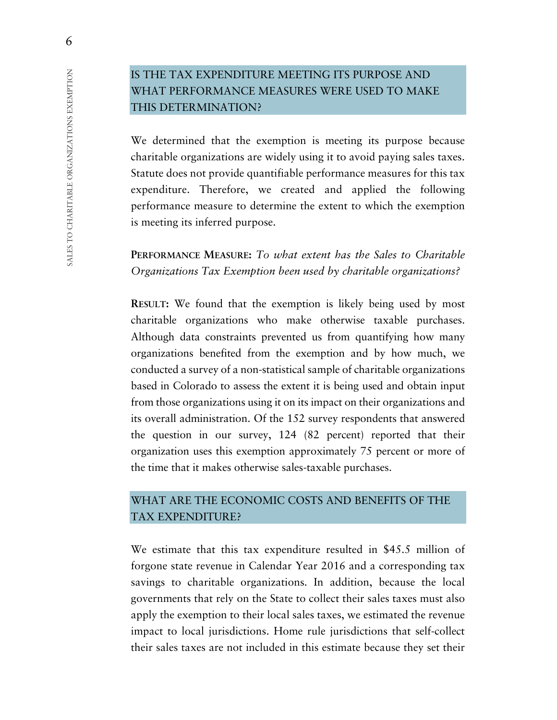#### IS THE TAX EXPENDITURE MEETING ITS PURPOSE AND WHAT PERFORMANCE MEASURES WERE USED TO MAKE THIS DETERMINATION?

We determined that the exemption is meeting its purpose because charitable organizations are widely using it to avoid paying sales taxes. Statute does not provide quantifiable performance measures for this tax expenditure. Therefore, we created and applied the following performance measure to determine the extent to which the exemption is meeting its inferred purpose.

**PERFORMANCE MEASURE:** *To what extent has the Sales to Charitable Organizations Tax Exemption been used by charitable organizations?* 

**RESULT:** We found that the exemption is likely being used by most charitable organizations who make otherwise taxable purchases. Although data constraints prevented us from quantifying how many organizations benefited from the exemption and by how much, we conducted a survey of a non-statistical sample of charitable organizations based in Colorado to assess the extent it is being used and obtain input from those organizations using it on its impact on their organizations and its overall administration. Of the 152 survey respondents that answered the question in our survey, 124 (82 percent) reported that their organization uses this exemption approximately 75 percent or more of the time that it makes otherwise sales-taxable purchases.

#### WHAT ARE THE ECONOMIC COSTS AND BENEFITS OF THE TAX EXPENDITURE?

We estimate that this tax expenditure resulted in \$45.5 million of forgone state revenue in Calendar Year 2016 and a corresponding tax savings to charitable organizations. In addition, because the local governments that rely on the State to collect their sales taxes must also apply the exemption to their local sales taxes, we estimated the revenue impact to local jurisdictions. Home rule jurisdictions that self-collect their sales taxes are not included in this estimate because they set their

6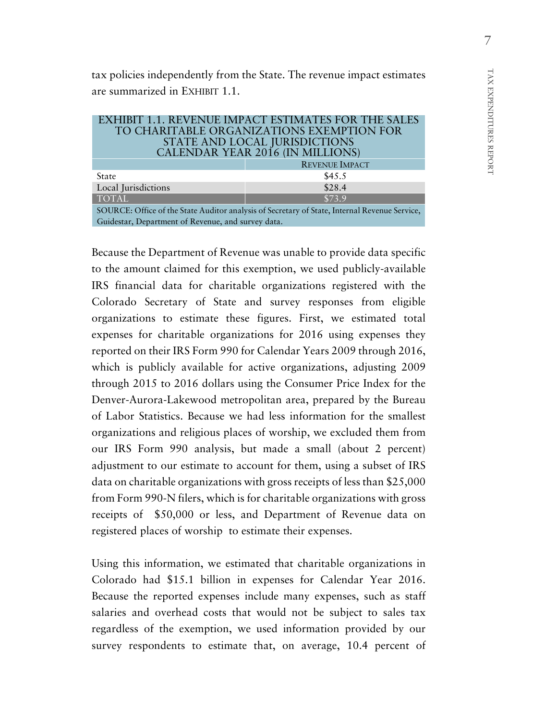TAX EXPENDITURES REPORT TAX EXPENDITURES REPORT

tax policies independently from the State. The revenue impact estimates are summarized in EXHIBIT 1.1.

| <b>EXHIBIT 1.1. REVENUE IMPACT ESTIMATES FOR THE SALES</b>                                    |                       |
|-----------------------------------------------------------------------------------------------|-----------------------|
| TO CHARITABLE ORGANIZATIONS EXEMPTION FOR                                                     |                       |
| STATE AND LOCAL JURISDICTIONS                                                                 |                       |
| <b>CALENDAR YEAR 2016 (IN MILLIONS)</b>                                                       |                       |
|                                                                                               | <b>REVENUE IMPACT</b> |
| State                                                                                         | \$45.5                |
| Local Jurisdictions                                                                           | \$28.4                |
| <b>TOTAL</b>                                                                                  | \$73.9                |
| SOURCE: Office of the State Auditor analysis of Secretary of State, Internal Revenue Service, |                       |

Guidestar, Department of Revenue, and survey data.

Because the Department of Revenue was unable to provide data specific to the amount claimed for this exemption, we used publicly-available IRS financial data for charitable organizations registered with the Colorado Secretary of State and survey responses from eligible organizations to estimate these figures. First, we estimated total expenses for charitable organizations for 2016 using expenses they reported on their IRS Form 990 for Calendar Years 2009 through 2016, which is publicly available for active organizations, adjusting 2009 through 2015 to 2016 dollars using the Consumer Price Index for the Denver-Aurora-Lakewood metropolitan area, prepared by the Bureau of Labor Statistics. Because we had less information for the smallest organizations and religious places of worship, we excluded them from our IRS Form 990 analysis, but made a small (about 2 percent) adjustment to our estimate to account for them, using a subset of IRS data on charitable organizations with gross receipts of less than \$25,000 from Form 990-N filers, which is for charitable organizations with gross receipts of \$50,000 or less, and Department of Revenue data on registered places of worship to estimate their expenses.

Using this information, we estimated that charitable organizations in Colorado had \$15.1 billion in expenses for Calendar Year 2016. Because the reported expenses include many expenses, such as staff salaries and overhead costs that would not be subject to sales tax regardless of the exemption, we used information provided by our survey respondents to estimate that, on average, 10.4 percent of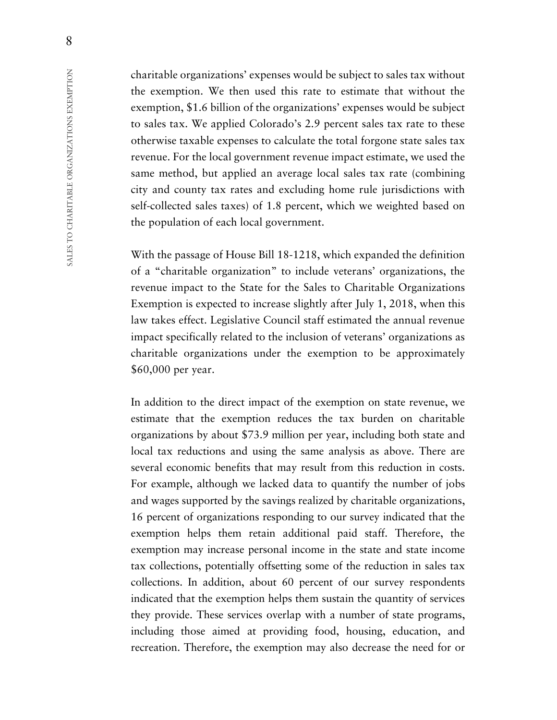charitable organizations' expenses would be subject to sales tax without the exemption. We then used this rate to estimate that without the exemption, \$1.6 billion of the organizations' expenses would be subject to sales tax. We applied Colorado's 2.9 percent sales tax rate to these otherwise taxable expenses to calculate the total forgone state sales tax revenue. For the local government revenue impact estimate, we used the same method, but applied an average local sales tax rate (combining city and county tax rates and excluding home rule jurisdictions with self-collected sales taxes) of 1.8 percent, which we weighted based on the population of each local government.

With the passage of House Bill 18-1218, which expanded the definition of a "charitable organization" to include veterans' organizations, the revenue impact to the State for the Sales to Charitable Organizations Exemption is expected to increase slightly after July 1, 2018, when this law takes effect. Legislative Council staff estimated the annual revenue impact specifically related to the inclusion of veterans' organizations as charitable organizations under the exemption to be approximately \$60,000 per year.

In addition to the direct impact of the exemption on state revenue, we estimate that the exemption reduces the tax burden on charitable organizations by about \$73.9 million per year, including both state and local tax reductions and using the same analysis as above. There are several economic benefits that may result from this reduction in costs. For example, although we lacked data to quantify the number of jobs and wages supported by the savings realized by charitable organizations, 16 percent of organizations responding to our survey indicated that the exemption helps them retain additional paid staff. Therefore, the exemption may increase personal income in the state and state income tax collections, potentially offsetting some of the reduction in sales tax collections. In addition, about 60 percent of our survey respondents indicated that the exemption helps them sustain the quantity of services they provide. These services overlap with a number of state programs, including those aimed at providing food, housing, education, and recreation. Therefore, the exemption may also decrease the need for or

8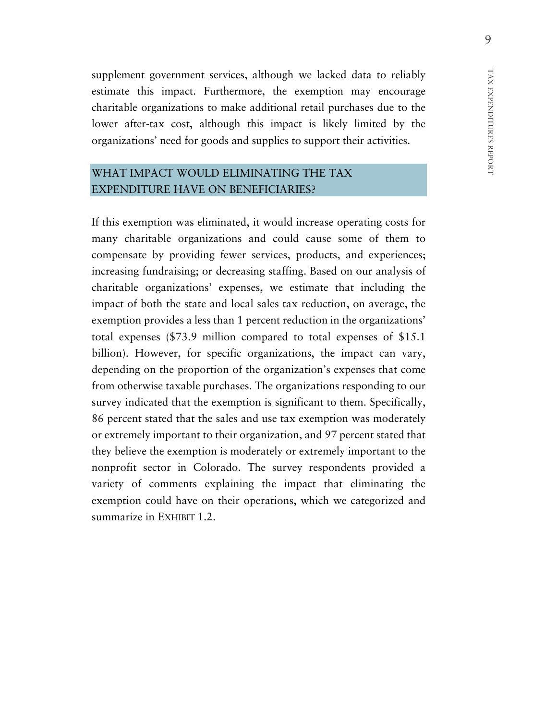TAX EXPENDITURES REPORT TAX EXPENDITURES REPORT

supplement government services, although we lacked data to reliably estimate this impact. Furthermore, the exemption may encourage charitable organizations to make additional retail purchases due to the lower after-tax cost, although this impact is likely limited by the organizations' need for goods and supplies to support their activities.

#### WHAT IMPACT WOULD ELIMINATING THE TAX EXPENDITURE HAVE ON BENEFICIARIES?

If this exemption was eliminated, it would increase operating costs for many charitable organizations and could cause some of them to compensate by providing fewer services, products, and experiences; increasing fundraising; or decreasing staffing. Based on our analysis of charitable organizations' expenses, we estimate that including the impact of both the state and local sales tax reduction, on average, the exemption provides a less than 1 percent reduction in the organizations' total expenses (\$73.9 million compared to total expenses of \$15.1 billion). However, for specific organizations, the impact can vary, depending on the proportion of the organization's expenses that come from otherwise taxable purchases. The organizations responding to our survey indicated that the exemption is significant to them. Specifically, 86 percent stated that the sales and use tax exemption was moderately or extremely important to their organization, and 97 percent stated that they believe the exemption is moderately or extremely important to the nonprofit sector in Colorado. The survey respondents provided a variety of comments explaining the impact that eliminating the exemption could have on their operations, which we categorized and summarize in EXHIBIT 1.2.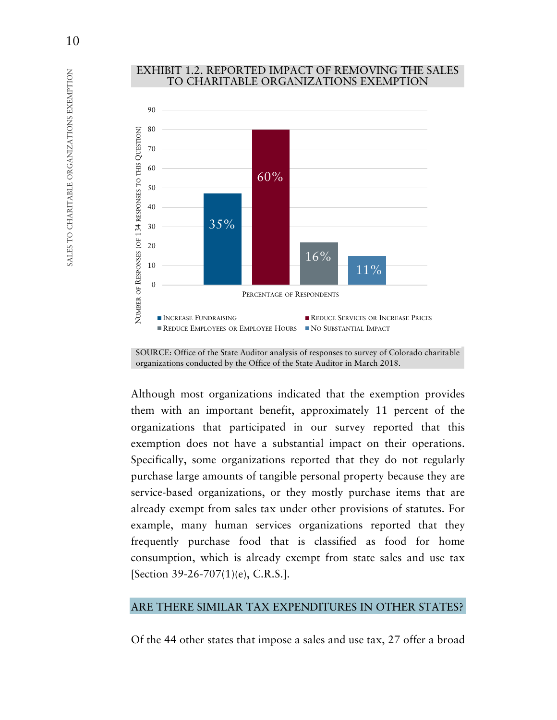

#### EXHIBIT 1.2. REPORTED IMPACT OF REMOVING THE SALES TO CHARITABLE ORGANIZATIONS EXEMPTION

SOURCE: Office of the State Auditor analysis of responses to survey of Colorado charitable organizations conducted by the Office of the State Auditor in March 2018.

INCREASE FUNDRAISING REDUCE SERVICES OR INCREASE PRICES

REDUCE EMPLOYEES OR EMPLOYEE HOURS NO SUBSTANTIAL IMPACT

Although most organizations indicated that the exemption provides them with an important benefit, approximately 11 percent of the organizations that participated in our survey reported that this exemption does not have a substantial impact on their operations. Specifically, some organizations reported that they do not regularly purchase large amounts of tangible personal property because they are service-based organizations, or they mostly purchase items that are already exempt from sales tax under other provisions of statutes. For example, many human services organizations reported that they frequently purchase food that is classified as food for home consumption, which is already exempt from state sales and use tax [Section 39-26-707(1)(e), C.R.S.].

#### ARE THERE SIMILAR TAX EXPENDITURES IN OTHER STATES?

Of the 44 other states that impose a sales and use tax, 27 offer a broad

SALES TO CHARITABLE ORGANIZATIONS EXEMPTION

SALES TO CHARITABLE ORGANIZATIONS EXEMPTION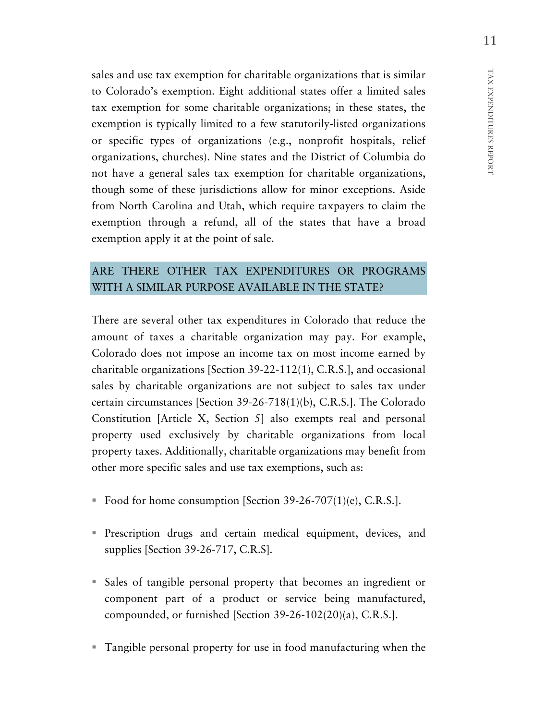sales and use tax exemption for charitable organizations that is similar to Colorado's exemption. Eight additional states offer a limited sales tax exemption for some charitable organizations; in these states, the exemption is typically limited to a few statutorily-listed organizations or specific types of organizations (e.g., nonprofit hospitals, relief organizations, churches). Nine states and the District of Columbia do not have a general sales tax exemption for charitable organizations, though some of these jurisdictions allow for minor exceptions. Aside from North Carolina and Utah, which require taxpayers to claim the exemption through a refund, all of the states that have a broad exemption apply it at the point of sale.

#### ARE THERE OTHER TAX EXPENDITURES OR PROGRAMS WITH A SIMILAR PURPOSE AVAILABLE IN THE STATE?

There are several other tax expenditures in Colorado that reduce the amount of taxes a charitable organization may pay. For example, Colorado does not impose an income tax on most income earned by charitable organizations [Section 39-22-112(1), C.R.S.], and occasional sales by charitable organizations are not subject to sales tax under certain circumstances [Section 39-26-718(1)(b), C.R.S.]. The Colorado Constitution [Article X, Section 5] also exempts real and personal property used exclusively by charitable organizations from local property taxes. Additionally, charitable organizations may benefit from other more specific sales and use tax exemptions, such as:

- Food for home consumption [Section  $39-26-707(1)(e)$ , C.R.S.].
- Prescription drugs and certain medical equipment, devices, and supplies [Section 39-26-717, C.R.S].
- Sales of tangible personal property that becomes an ingredient or component part of a product or service being manufactured, compounded, or furnished [Section 39-26-102(20)(a), C.R.S.].
- Tangible personal property for use in food manufacturing when the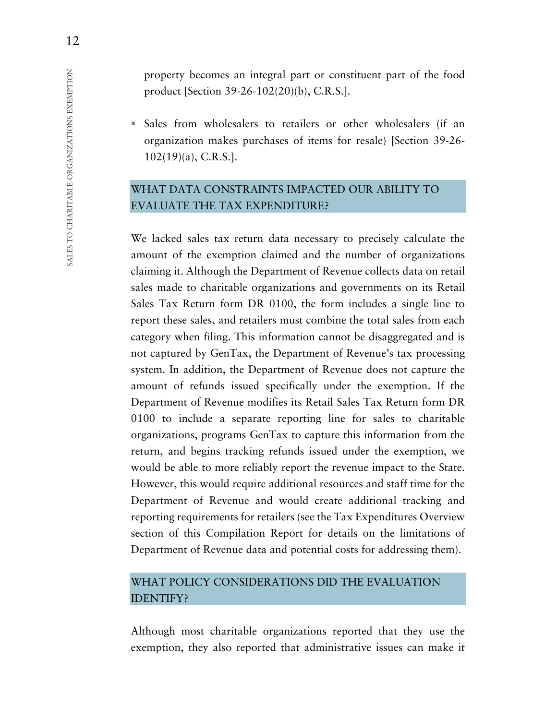property becomes an integral part or constituent part of the food product [Section 39-26-102(20)(b), C.R.S.].

 Sales from wholesalers to retailers or other wholesalers (if an organization makes purchases of items for resale) [Section 39-26- 102(19)(a), C.R.S.].

#### WHAT DATA CONSTRAINTS IMPACTED OUR ABILITY TO EVALUATE THE TAX EXPENDITURE?

We lacked sales tax return data necessary to precisely calculate the amount of the exemption claimed and the number of organizations claiming it. Although the Department of Revenue collects data on retail sales made to charitable organizations and governments on its Retail Sales Tax Return form DR 0100, the form includes a single line to report these sales, and retailers must combine the total sales from each category when filing. This information cannot be disaggregated and is not captured by GenTax, the Department of Revenue's tax processing system. In addition, the Department of Revenue does not capture the amount of refunds issued specifically under the exemption. If the Department of Revenue modifies its Retail Sales Tax Return form DR 0100 to include a separate reporting line for sales to charitable organizations, programs GenTax to capture this information from the return, and begins tracking refunds issued under the exemption, we would be able to more reliably report the revenue impact to the State. However, this would require additional resources and staff time for the Department of Revenue and would create additional tracking and reporting requirements for retailers (see the Tax Expenditures Overview section of this Compilation Report for details on the limitations of Department of Revenue data and potential costs for addressing them).

#### WHAT POLICY CONSIDERATIONS DID THE EVALUATION IDENTIFY?

Although most charitable organizations reported that they use the exemption, they also reported that administrative issues can make it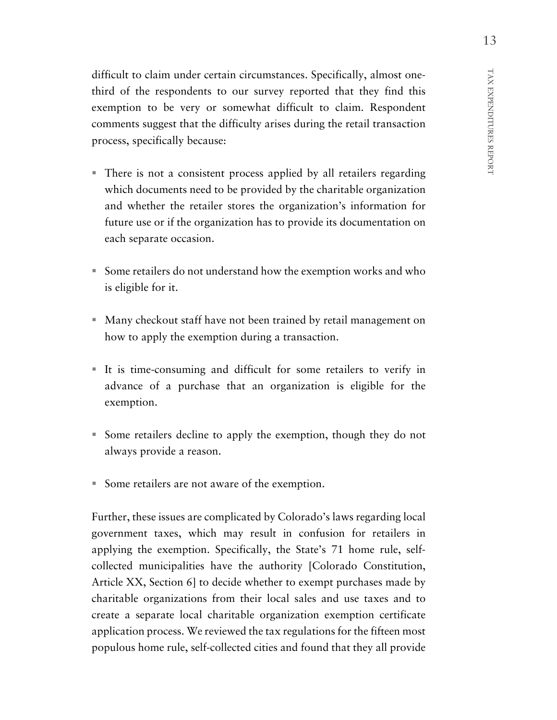difficult to claim under certain circumstances. Specifically, almost onethird of the respondents to our survey reported that they find this exemption to be very or somewhat difficult to claim. Respondent comments suggest that the difficulty arises during the retail transaction process, specifically because:

- There is not a consistent process applied by all retailers regarding which documents need to be provided by the charitable organization and whether the retailer stores the organization's information for future use or if the organization has to provide its documentation on each separate occasion.
- Some retailers do not understand how the exemption works and who is eligible for it.
- Many checkout staff have not been trained by retail management on how to apply the exemption during a transaction.
- It is time-consuming and difficult for some retailers to verify in advance of a purchase that an organization is eligible for the exemption.
- Some retailers decline to apply the exemption, though they do not always provide a reason.
- Some retailers are not aware of the exemption.

Further, these issues are complicated by Colorado's laws regarding local government taxes, which may result in confusion for retailers in applying the exemption. Specifically, the State's 71 home rule, selfcollected municipalities have the authority [Colorado Constitution, Article XX, Section 6] to decide whether to exempt purchases made by charitable organizations from their local sales and use taxes and to create a separate local charitable organization exemption certificate application process. We reviewed the tax regulations for the fifteen most populous home rule, self-collected cities and found that they all provide